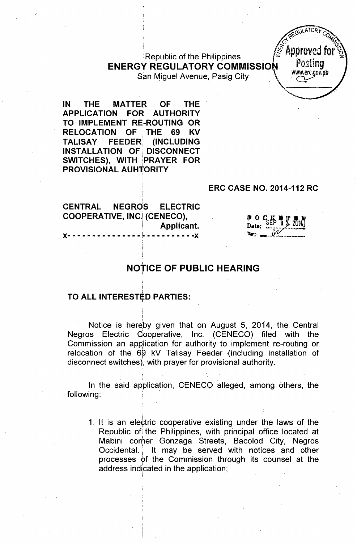;Republic of the Philippines .!Approv~dfor \ ENERGY REGULATORY COMMISSION POSTING San Miguel Avenue, Pasig City



IN THE MATTER OF THE APPLICATION FOR AUTHORITY <sup>I</sup> TO IMPLEMENT RE-ROUTING OR RELOCATION OF THE 69 KV<br>TALISAY FEEDER (INCLUDING (INCLUDING) INSTALLATION OF DISCONNECT SWITCHES), WITH jPRAYER FOR PROVISIONAL AUHTORITY

#### ERC CASE NO. 2014-112 RC

CENTRAL NEGRdS ELECTRIC COOPERATIVE, INC.!(CENECO), Applicant. )(- - - - - - - - - - - - - - - <sup>~</sup> - - - - - - - - - -)(

։<br>≀

 $\cdot$   $\cdot$ 

 $D^0$  O  $C_K$   $D^0$   $T^0$   $D^0$ <br>Date:  $D^0$   $D^0$   $D^0$   $D^0$   $D^0$   $D^0$   $D^0$   $D^0$   $D^0$   $D^0$   $D^0$   $D^0$   $D^0$   $D^0$   $D^0$   $D^0$   $D^0$   $D^0$   $D^0$   $D^0$   $D^0$   $D^0$   $D^0$   $D^0$   $D^0$   $D^0$   $D^0$   $D^0$   $D^0$   $D^0$   $D^0$  $\mathbf{v}$  .  $\mathbf{w}$ 

# NOȚICE OF PUBLIC HEARING

# TO ALL INTERESTĘD PARTIES

Notice is hereby given that on August 5, 2014, the Central Negros Electric Cooperative, Inc. (CENECO) filed with the Commission an application for authority to implement re-routing or relocation of the 69 kV Talisay Feeder (including installation of disconnect switches), with prayer for provisional authority.

In the said application, CENECO alleged, among others, the following:

1. It is an electric cooperative existing under the laws of the Republic of the Philippines, with principal office located at Mabini *corher* Gonzaga Streets, Bacolod City, Negros Occidental. It may be served with notices and other processes of the Commission through its counsel at the address indicated in the application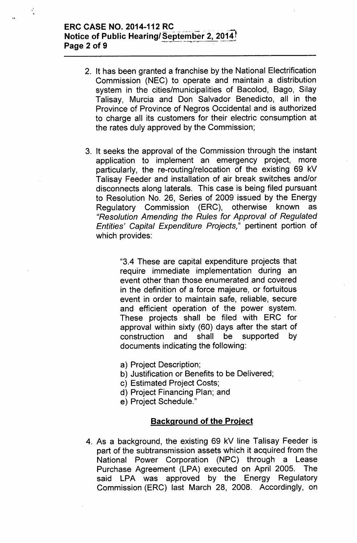## ERC CASE NO. 2014-112 RC Notice of Public Hearing/September 2, 2014  $P_{200}$  2 of 9

- 2. It has been granted a franchise by the National Electrification Commission (NEC) to operate and maintain a distribution system in the cities/municipalities of Bacolod, Bago, Silay Talisay, Murcia and Don Salvador Benedicto, all in the Province of Province of Negros Occidental and is authorized to charge all its customers for their electric consumption at the rates duly approved by the Commission;
- 3. It seeks the approval of the Commission through the instant application to implement an emergency project, more particularly, the re-routing/relocation of the existing 69 kV Talisay Feeder and installation of air break switches and/or disconnects along laterals. This case is being filed pursuant to Resolution No. 26, Series of 2009 issued by the Energy Regulatory Commission (ERC), otherwise known as *"Resolution Amending the Rules for Approval* of *Regulated Entities' Capital Expenditure Projects,"* pertinent portion of which provides:

"3.4 These are capital expenditure projects that require immediate implementation during an event other than those enumerated and covered in the definition of a force majeure, or fortuitous event in order to maintain safe, reliable, secure and efficient operation of the power system. These projects shall be filed with ERC for approval within sixty (60) days after the start of construction and shall be supported by documents indicating the following:

- a) Project Description;
- b) Justification or Benefits to be Delivered;
- c) Estimated Project Costs;
- d) Project Financing Plan; and
- e) Project Schedule."

#### Background of the Project

4. As a background, the existing 69 kV line Talisay Feeder is part of the subtransmission assets which it acquired from the National Power Corporation (NPC) through a Lease Purchase Agreement (LPA) executed on April 2005. The said LPA was approved by the Energy Regulatory Commission (ERC) last March 28, 2008. Accordingly, on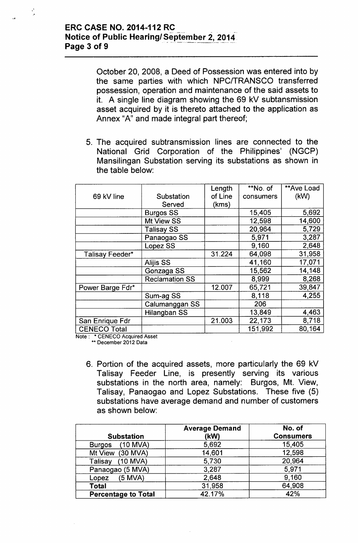# ERC CASE NO. 2014-112 RC Notice of Public Hearing/September 2, 2014.<br>Page 3 of 9

,. "

October 20, *200B,* a Deed of Possession was entered into by the same parties with which NPCITRANSCO transferred possession, operation and maintenance of the said assets to it. A single line diagram showing the 69 kV subtansmission asset acquired by it is thereto attached to the application as Annex "A" and made integral part thereof;

5. The acquired subtransmission lines are connected to the National Grid Corporation of the Philippines' (NGCP) Mansilingan Substation serving its substations as shown in the table below:

|                     |                       | Length  | **No. of  | **Ave Load |
|---------------------|-----------------------|---------|-----------|------------|
| 69 kV line          | Substation            | of Line | consumers | (KW)       |
|                     | Served                | (kms)   |           |            |
|                     | <b>Burgos SS</b>      |         | 15,405    | 5,692      |
|                     | Mt View SS            |         | 12,598    | 14,600     |
|                     | <b>Talisay SS</b>     |         | 20,964    | 5,729      |
|                     | Panaogao SS           |         | 5,971     | 3,287      |
|                     | Lopez SS              |         | 9,160     | 2,648      |
| Talisay Feeder*     |                       | 31.224  | 64,098    | 31,958     |
|                     | <b>Alijis SS</b>      |         | 41,160    | 17,071     |
|                     | Gonzaga SS            |         | 15,562    | 14,148     |
|                     | <b>Reclamation SS</b> |         | 8,999     | 8,268      |
| Power Barge Fdr*    |                       | 12.007  | 65,721    | 39,847     |
|                     | Sum-ag SS             |         | 8,118     | 4,255      |
|                     | Calumanggan SS        |         | 206       |            |
|                     | Hilangban SS          |         | 13,849    | 4,463      |
| San Enrique Fdr     |                       | 21.003  | 22,173    | 8,718      |
| <b>CENECO Total</b> |                       |         | 151,992   | 80,164     |

Note: \* CENECO Acquired Asset

\*\* December 2012 Data

6. Portion of the acquired assets, more particularly the 69 kV Talisay Feeder Line, is presently serving its various substations in the north area, namely: Burgos, Mt. View, Talisay, Panaogao and Lopez Substations. These five (5) substations have average demand and number of customers as shown below:

| <b>Substation</b>           | <b>Average Demand</b><br>(kW) | No. of<br><b>Consumers</b> |
|-----------------------------|-------------------------------|----------------------------|
| $(10$ MVA)<br><b>Burgos</b> | 5,692                         | 15,405                     |
| Mt View (30 MVA)            | 14,601                        | 12,598                     |
| (10 MVA)<br>Talisay         | 5,730                         | 20,964                     |
| Panaogao (5 MVA)            | 3,287                         | 5,971                      |
| (5 MVA)<br>Lopez            | 2,648                         | 9,160                      |
| <b>Total</b>                | 31,958                        | 64,908                     |
| <b>Percentage to Total</b>  | 42.17%                        | 42%                        |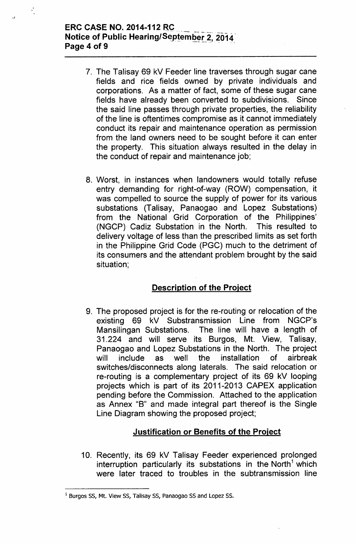#### **ERC CASE NO. 2014-112 RC Notice of Public Hearing/September 2, 2014 Page 4 of 9 . ------.. ..**

..

- 7. The Talisay 69 kV Feeder line traverses through sugar cane fields and rice fields owned by private individuals and corporations. As a matter of fact, some of these sugar cane fields have already been converted to subdivisions. Since the said line passes through private properties, the reliability of the line is oftentimes compromise as it cannot immediately conduct its repair and maintenance operation as permission from the land owners need to be sought before it can enter the property. This situation always resulted in the delay in the conduct of repair and maintenance job;
- 8. Worst, in instances when landowners would totally refuse entry demanding for right-of-way (ROW) compensation, it was compelled to source the supply of power for its various substations (Talisay, Panaogao and Lopez Substations) from the National Grid Corporation of the Philippines' (NGCP) Cadiz Substation in the North. This resulted to delivery voltage of less than the prescribed limits as set forth in the Philippine Grid Code (PGC) much to the detriment of its consumers and the attendant problem brought by the said situation;

## **Description of the Project**

9. The proposed project is for the re-routing or relocation of the existing 69 kV Substransmission Line from NGCP's Mansilingan Substations. The line will have a length of 31.224 and will serve its Burgos, Mt. View, Talisay, Panaogao and Lopez Substations in the North. The project will include as well the installation of airbreak switches/disconnects along laterals. The said relocation or re-routing is a complementary project of its 69 kV looping projects which is part of its 2011-2013 CAPEX application pending before the Commission. Attached to the application as Annex "B" and made integral part thereof is the Single Line Diagram showing the proposed project;

## **Justification or Benefits of the Project**

10. Recently, its 69 kV Talisay Feeder experienced prolonged interruption particularly its substations in the North<sup>1</sup> which were later traced to troubles in the subtransmission line

<sup>&</sup>lt;sup>1</sup> Burgos SS, Mt. View SS, Talisay SS, Panaogao SS and Lopez SS.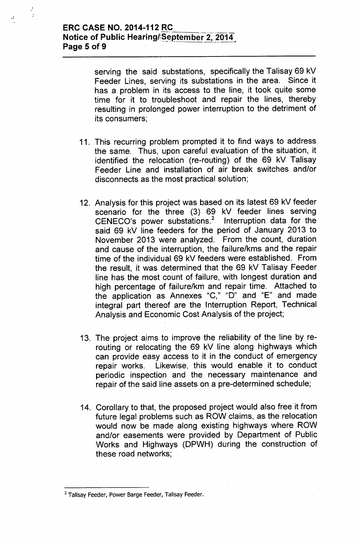$\mathbf{r}$ .<br>.

> serving the said substations, specifically the Talisay 69 kV Feeder Lines, serving its substations in the area. Since it has a problem in its access to the line, it took quite some time for it to troubleshoot and repair the lines, thereby resulting in prolonged power interruption to the detriment of its consumers;

- 11. This recurring problem prompted it to find ways to address the same. Thus, upon careful evaluation of the situation, it identified the relocation (re-routing) of the 69 kV Talisay Feeder Line and installation of air break switches and/or disconnects as the most practical solution;
- 12. Analysis for this project was based on its latest 69 kV feeder scenario for the three (3) 69 kV feeder lines serving CENECO's power substations.<sup>2</sup> Interruption data for the said 69 kV line feeders for the period of January 2013 to November 2013 were analyzed. From the count, duration and cause of the interruption, the failure/kms and the repair time of the individual 69 kV feeders were established. From the result, it was determined that the 69 kV Talisay Feeder line has the most count of failure, with longest duration and high percentage of failure/km and repair time. Attached to the application as Annexes "G," "0" and "E" and made integral part thereof are the Interruption Report, Technical Analysis and Economic Cost Analysis of the project;
- 13. The project aims to improve the reliability of the line by rerouting or relocating the 69 kV line along highways which can provide easy access to it in the conduct of emergency repair works. Likewise, this would enable it to conduct periodic inspection and the necessary maintenance and repair of the said line assets on a pre-determined schedule;
- 14. Corollary to that, the proposed project would also free it from future legal problems such as ROW claims, as the relocation would now be made along existing highways where ROW and/or easements were provided by Department of Public Works and Highways (DPWH) during the construction of these road networks;

<sup>&</sup>lt;sup>2</sup> Talisay Feeder, Power Barge Feeder, Talisay Feeder.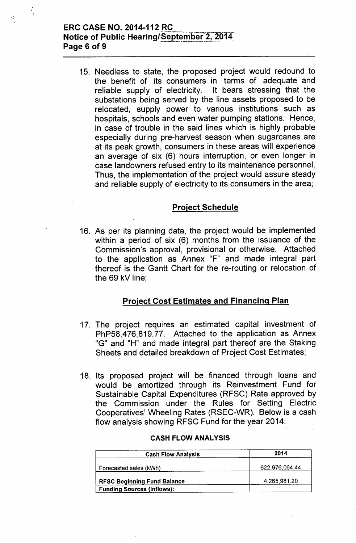#### **ERC CASE NO. 2014-112 RC-**Notice of Public Hearing/September 2, 2014 Page 6 of 9

, "

, ,

> 15. Needless to state, the proposed project would redound to the benefit of its consumers in terms of adequate and reliable supply of electricity. It bears stressing that the substations being served by the line assets proposed to be relocated, supply power to various institutions such as hospitals, schools and even water pumping stations. Hence, in case of trouble in the said lines which is highly probable especially during pre-harvest season when sugarcanes are at its peak growth, consumers in these areas will experience an average of six (6) hours interruption, or even longer in case landowners refused entry to its maintenance personnel. Thus, the implementation of the project would assure steady and reliable supply of electricity to its consumers in the area;

#### Project Schedule

16. As per its planning data, the project would be implemented within a period of six (6) months from the issuance of the Commission's approval, provisional or otherwise. Attached to the application as Annex "F" and made integral part thereof is the Gantt Chart for the re-routing or relocation of the 69 kV line;

#### Project Cost Estimates and Financing Plan

- 17. The project requires an estimated capital investment of PhP58,476,819.77. Attached to the application as Annex "G" and "H" and made integral part thereof are the Staking Sheets and detailed breakdown of Project Cost Estimates;
- 18. Its proposed project will be financed through loans and would be amortized through its Reinvestment Fund for Sustainable Capital Expenditures (RFSC) Rate approved by the Commission under the Rules for Setting Electric Cooperatives' Wheeling Rates (RSEC-WR). Below is a cash flow analysis showing RFSC Fund for the year 2014:

| <b>Cash Flow Analysis</b>          | 2014           |
|------------------------------------|----------------|
| Forecasted sales (kWh)             | 622,976,064.44 |
| <b>RFSC Beginning Fund Balance</b> | 4,265,981.20   |
| <b>Funding Sources (Inflows):</b>  |                |

#### CASH FLOW ANALYSIS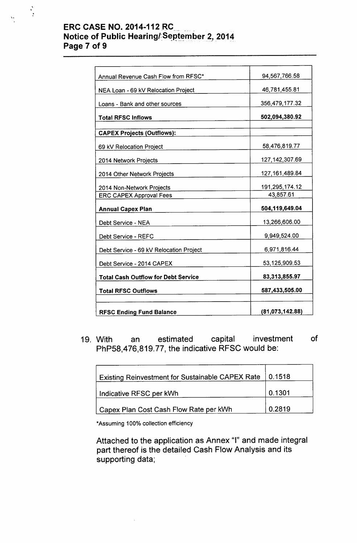## **ERC CASE NO. 2014-112 RC Notice of Public Hearing/September 2, 2014 Page 7 of 9 --- - -**

 $\ddot{\phantom{0}}$ 

, ,

| Annual Revenue Cash Flow from RFSC*        | 94,567,766.58     |
|--------------------------------------------|-------------------|
| NEA Loan - 69 kV Relocation Project        | 46,781,455.81     |
| Loans - Bank and other sources             | 356,479,177.32    |
| <b>Total RFSC Inflows</b>                  | 502,094,380.92    |
| <b>CAPEX Projects (Outflows):</b>          |                   |
| 69 kV Relocation Project                   | 58,476,819.77     |
| 2014 Network Projects                      | 127, 142, 307.69  |
| 2014 Other Network Projects                | 127, 161, 489. 84 |
| 2014 Non-Network Projects                  | 191,295,174.12    |
| <b>ERC CAPEX Approval Fees</b>             | 43,857.61         |
| <b>Annual Capex Plan</b>                   | 504,119,649.04    |
| Debt Service - NEA                         | 13,266,606.00     |
| Debt Service - REFC                        | 9,949,524.00      |
| Debt Service - 69 kV Relocation Project    | 6,971,816.44      |
| Debt Service - 2014 CAPEX                  | 53,125,909.53     |
| <b>Total Cash Outflow for Debt Service</b> | 83,313,855.97     |
| <b>Total RFSC Outflows</b>                 | 587,433,505.00    |
| <b>RFSC Ending Fund Balance</b>            | (81,073,142.88)   |
|                                            |                   |

19. With an estimated capital investment of PhP58,476,819.77, the indicative RFSC would be:

| Existing Reinvestment for Sustainable CAPEX Rate   0.1518 |        |
|-----------------------------------------------------------|--------|
| Indicative RFSC per kWh                                   | 0.1301 |
| Capex Plan Cost Cash Flow Rate per kWh                    | 0.2819 |

"Assuming 100% collection efficiency

Attached to the application as Annex "I" and made integral part thereof is the detailed Cash Flow Analysis and its supporting data;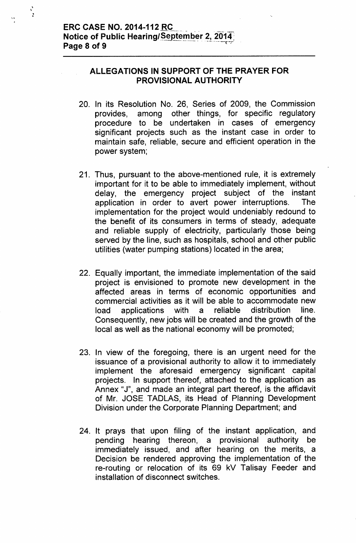\.

, , :<br>:

## **ALLEGATIONS IN SUPPORT OF THE PRAYER FOR PROVISIONAL AUTHORITY**

- 20. In its Resolution No. 26, Series of 2009, the Commission provides, among other things, for specific regulatory procedure to be undertaken in cases of emergency significant projects such as the instant case in order to maintain safe, reliable, secure and efficient operation in the power system;
- 21. Thus, pursuant to the above-mentioned rule, it is extremely important for it to be able to immediately implement, without delay, the emergency project subject of the instant application in order to avert power interruptions. The implementation for the project would undeniably redound to the benefit of its consumers in terms of steady, adequate and reliable supply of electricity, particularly those being served by the line, such as hospitals, school and other public utilities (water pumping stations) located in the area;
- 22. Equally important, the immediate implementation of the said project is envisioned to promote new development in the affected areas in terms of economic opportunities and commercial activities as it will be able to accommodate new load applications with a reliable distribution line. Consequently, new jobs will be created and the growth of the local as well as the national economy will be promoted;
- 23. In view of the foregoing, there is an urgent need for the issuance of a provisional authority to allow it to immediately implement the aforesaid emergency significant capital projects. In support thereof, attached to the application as Annex "J", and made an integral part thereof, is the affidavit of Mr. JOSE TADLAS, its Head of Planning Development Division under the Corporate Planning Department; and
- 24. It prays that upon filing of the instant application, and pending hearing thereon, a provisional authority be immediately issued, and after hearing on the merits, a Decision be rendered approving the implementation of the re-routing or relocation of its 69 kV Talisay Feeder and installation of disconnect switches.